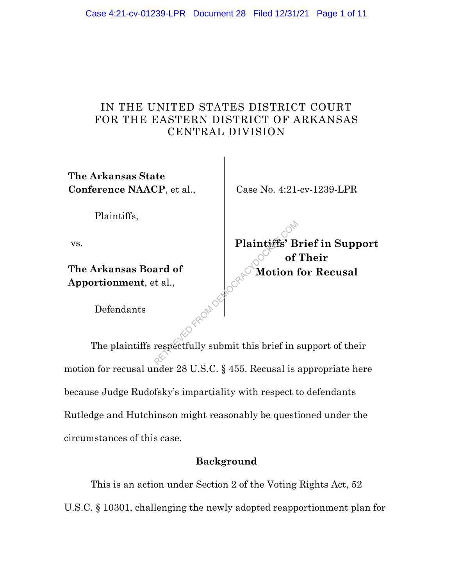## IN THE UNITED STATES DISTRICT COURT FOR THE EASTERN DISTRICT OF ARKANSAS CENTRAL DIVISION

**The Arkansas State Conference NAACP**, et al.,

Case No. 4:21-cv-1239-LPR

Plaintiffs,

vs.

**The Arkansas Board of Apportionment**, et al.,

**Plaintiffs' Brief in Support of Their Motion for Recusal**

Defendants

The plaintiffs respectfully submit this brief in support of their motion for recusal under 28 U.S.C. § 455. Recusal is appropriate here because Judge Rudofsky's impartiality with respect to defendants Rutledge and Hutchinson might reasonably be questioned under the circumstances of this case. Plaintiffs' B<br>ard of<br>t al.,<br>respectfully submit this brief in a

## **Background**

This is an action under Section 2 of the Voting Rights Act, 52 U.S.C. § 10301, challenging the newly adopted reapportionment plan for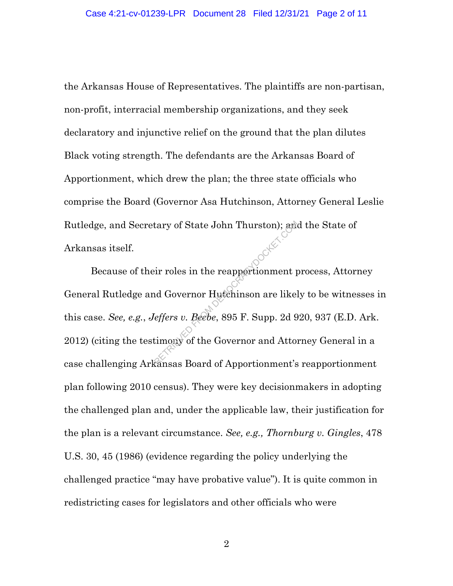the Arkansas House of Representatives. The plaintiffs are non-partisan, non-profit, interracial membership organizations, and they seek declaratory and injunctive relief on the ground that the plan dilutes Black voting strength. The defendants are the Arkansas Board of Apportionment, which drew the plan; the three state officials who comprise the Board (Governor Asa Hutchinson, Attorney General Leslie Rutledge, and Secretary of State John Thurston); and the State of Arkansas itself.

Because of their roles in the reapportionment process, Attorney General Rutledge and Governor Hutchinson are likely to be witnesses in this case. *See, e.g.*, *Jeffers v. Beebe*, 895 F. Supp. 2d 920, 937 (E.D. Ark. 2012) (citing the testimony of the Governor and Attorney General in a case challenging Arkansas Board of Apportionment's reapportionment plan following 2010 census). They were key decisionmakers in adopting the challenged plan and, under the applicable law, their justification for the plan is a relevant circumstance. *See, e.g., Thornburg v. Gingles*, 478 U.S. 30, 45 (1986) (evidence regarding the policy underlying the challenged practice "may have probative value"). It is quite common in redistricting cases for legislators and other officials who were Example Thurston); and<br>ir roles in the reapportionment p<br>d Governor Hutchinson are likel<br>feffers v. Beebe, 895 F. Supp. 2d 9<br>timony of the Governor and Attor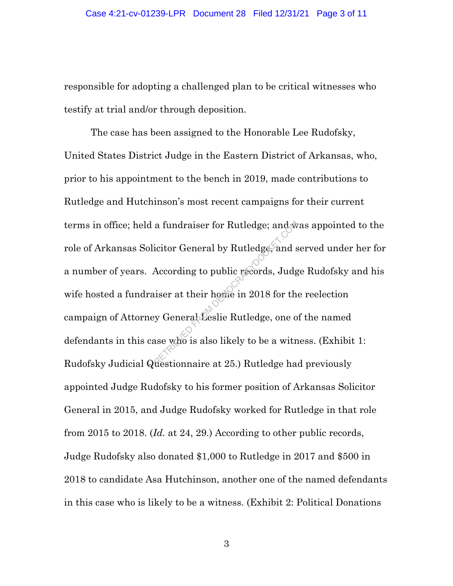responsible for adopting a challenged plan to be critical witnesses who testify at trial and/or through deposition.

The case has been assigned to the Honorable Lee Rudofsky, United States District Judge in the Eastern District of Arkansas, who, prior to his appointment to the bench in 2019, made contributions to Rutledge and Hutchinson's most recent campaigns for their current terms in office; held a fundraiser for Rutledge; and was appointed to the role of Arkansas Solicitor General by Rutledge, and served under her for a number of years. According to public records, Judge Rudofsky and his wife hosted a fundraiser at their home in 2018 for the reelection campaign of Attorney General Leslie Rutledge, one of the named defendants in this case who is also likely to be a witness. (Exhibit 1: Rudofsky Judicial Questionnaire at 25.) Rutledge had previously appointed Judge Rudofsky to his former position of Arkansas Solicitor General in 2015, and Judge Rudofsky worked for Rutledge in that role from 2015 to 2018. (*Id.* at 24, 29.) According to other public records, Judge Rudofsky also donated \$1,000 to Rutledge in 2017 and \$500 in 2018 to candidate Asa Hutchinson, another one of the named defendants in this case who is likely to be a witness. (Exhibit 2: Political Donations a fundraiser for Rutledge; and s<br>icitor General by Rutledge, and s<br>According to public records, Judg<br>iser at their home in 2018 for the<br>y General Leslie Rutledge, one of<br>ase who is also likely to be a with<br>restionnaire at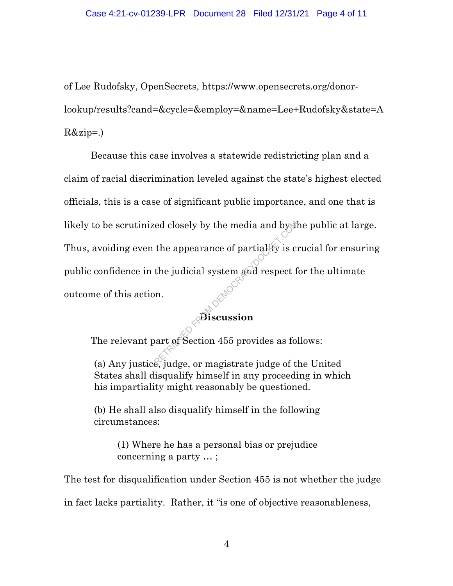of Lee Rudofsky, OpenSecrets, https://www.opensecrets.org/donorlookup/results?cand=&cycle=&employ=&name=Lee+Rudofsky&state=A  $R\&zip=.)$ 

Because this case involves a statewide redistricting plan and a claim of racial discrimination leveled against the state's highest elected officials, this is a case of significant public importance, and one that is likely to be scrutinized closely by the media and by the public at large. Thus, avoiding even the appearance of partiality is crucial for ensuring public confidence in the judicial system and respect for the ultimate outcome of this action. Red closely by the media and by the<br>the appearance of partiality is computed to the judicial system and respect for<br>on.<br> $\mathbf{B}$  iscussion<br>bart of Section 455 provides as follows:

## **Discussion**

The relevant part of Section 455 provides as follows:

(a) Any justice, judge, or magistrate judge of the United States shall disqualify himself in any proceeding in which his impartiality might reasonably be questioned.

(b) He shall also disqualify himself in the following circumstances:

> (1) Where he has a personal bias or prejudice concerning a party … ;

The test for disqualification under Section 455 is not whether the judge

in fact lacks partiality. Rather, it "is one of objective reasonableness,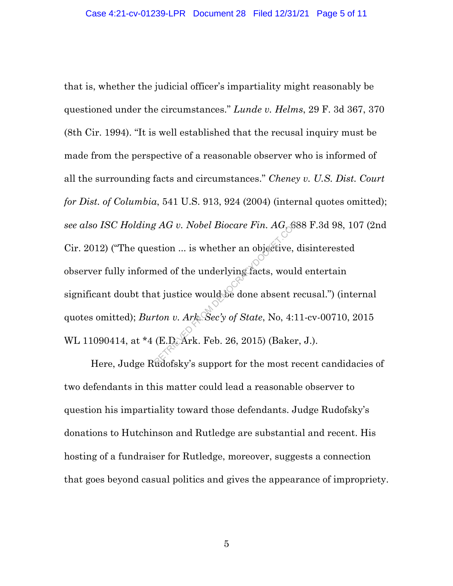that is, whether the judicial officer's impartiality might reasonably be questioned under the circumstances." *Lunde v. Helms*, 29 F. 3d 367, 370 (8th Cir. 1994). "It is well established that the recusal inquiry must be made from the perspective of a reasonable observer who is informed of all the surrounding facts and circumstances." *Cheney v. U.S. Dist. Court for Dist. of Columbia*, 541 U.S. 913, 924 (2004) (internal quotes omitted); *see also ISC Holding AG v. Nobel Biocare Fin. AG*, 688 F.3d 98, 107 (2nd Cir. 2012) ("The question ... is whether an objective, disinterested observer fully informed of the underlying facts, would entertain significant doubt that justice would be done absent recusal.") (internal quotes omitted); *Burton v. Ark. Sec'y of State*, No, 4:11-cv-00710, 2015 WL 11090414, at \*4 (E.D. Ark. Feb. 26, 2015) (Baker, J.). Representing the Underlying facts, would<br>at justice would be done absent represent to the underlying facts, would<br>at justice would be done absent represent to the Westerland CE.D. Ark. Feb. 26, 2015) (Baker

Here, Judge Rudofsky's support for the most recent candidacies of two defendants in this matter could lead a reasonable observer to question his impartiality toward those defendants. Judge Rudofsky's donations to Hutchinson and Rutledge are substantial and recent. His hosting of a fundraiser for Rutledge, moreover, suggests a connection that goes beyond casual politics and gives the appearance of impropriety.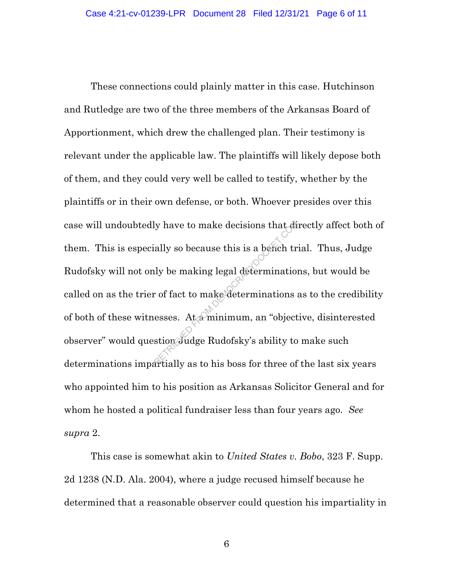These connections could plainly matter in this case. Hutchinson and Rutledge are two of the three members of the Arkansas Board of Apportionment, which drew the challenged plan. Their testimony is relevant under the applicable law. The plaintiffs will likely depose both of them, and they could very well be called to testify, whether by the plaintiffs or in their own defense, or both. Whoever presides over this case will undoubtedly have to make decisions that directly affect both of them. This is especially so because this is a bench trial. Thus, Judge Rudofsky will not only be making legal determinations, but would be called on as the trier of fact to make determinations as to the credibility of both of these witnesses. At a minimum, an "objective, disinterested observer" would question Judge Rudofsky's ability to make such determinations impartially as to his boss for three of the last six years who appointed him to his position as Arkansas Solicitor General and for whom he hosted a political fundraiser less than four years ago. *See supra* 2. ly have to make decisions that divergently so because this is a bench truly be making legal determination<br>of fact to make determinations:<br>esses. At a minimum, an "object stion Judge Rudofsky's ability to

This case is somewhat akin to *United States v. Bobo*, 323 F. Supp. 2d 1238 (N.D. Ala. 2004), where a judge recused himself because he determined that a reasonable observer could question his impartiality in

6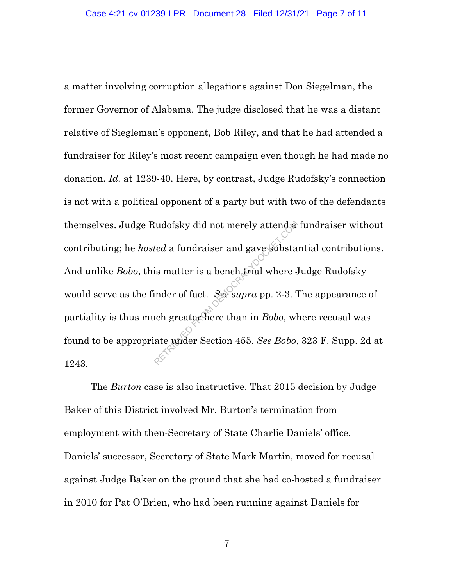a matter involving corruption allegations against Don Siegelman, the former Governor of Alabama. The judge disclosed that he was a distant relative of Siegleman's opponent, Bob Riley, and that he had attended a fundraiser for Riley's most recent campaign even though he had made no donation. *Id.* at 1239-40. Here, by contrast, Judge Rudofsky's connection is not with a political opponent of a party but with two of the defendants themselves. Judge Rudofsky did not merely attend a fundraiser without contributing; he *hosted* a fundraiser and gave substantial contributions. And unlike *Bobo*, this matter is a bench trial where Judge Rudofsky would serve as the finder of fact. *See supra* pp. 2-3. The appearance of partiality is thus much greater here than in *Bobo*, where recusal was found to be appropriate under Section 455. *See Bobo*, 323 F. Supp. 2d at 1243*.* Red a fundraiser and gave substated a fundraiser and gave substated as matter is a bench final where dinder of fact. See supra pp. 2-3. If we under Section 455. See Bobo,

The *Burton* case is also instructive. That 2015 decision by Judge Baker of this District involved Mr. Burton's termination from employment with then-Secretary of State Charlie Daniels' office. Daniels' successor, Secretary of State Mark Martin, moved for recusal against Judge Baker on the ground that she had co-hosted a fundraiser in 2010 for Pat O'Brien, who had been running against Daniels for

7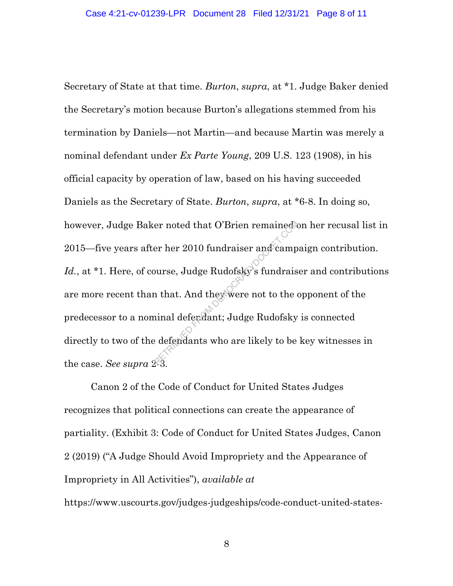Secretary of State at that time. *Burton*, *supra*, at \*1. Judge Baker denied the Secretary's motion because Burton's allegations stemmed from his termination by Daniels—not Martin—and because Martin was merely a nominal defendant under *Ex Parte Young*, 209 U.S. 123 (1908), in his official capacity by operation of law, based on his having succeeded Daniels as the Secretary of State. *Burton*, *supra*, at \*6-8. In doing so, however, Judge Baker noted that O'Brien remained on her recusal list in 2015—five years after her 2010 fundraiser and campaign contribution. Id., at \*1. Here, of course, Judge Rudofsky's fundraiser and contributions are more recent than that. And they were not to the opponent of the predecessor to a nominal defendant; Judge Rudofsky is connected directly to two of the defendants who are likely to be key witnesses in the case. *See supra* 2-3. er noted that O'Brien remained<br>er her 2010 fundraiser and camp<br>burse, Judge Rudofsky's fundrais<br>n that. And they were not to the original defendant; Judge Rudofsky<br>edefendants who are likely to be

Canon 2 of the Code of Conduct for United States Judges recognizes that political connections can create the appearance of partiality. (Exhibit 3: Code of Conduct for United States Judges, Canon 2 (2019) ("A Judge Should Avoid Impropriety and the Appearance of Impropriety in All Activities"), *available at* 

https://www.uscourts.gov/judges-judgeships/code-conduct-united-states-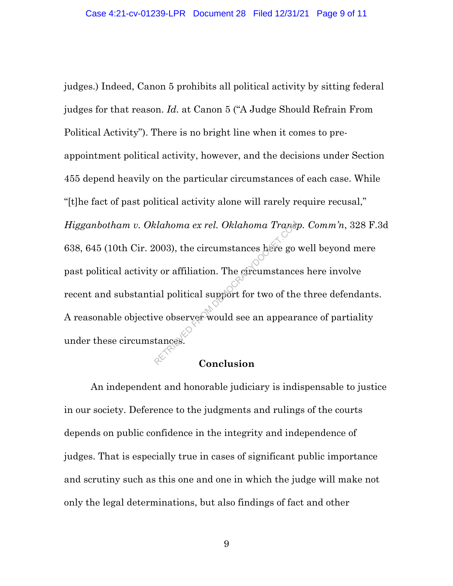judges.) Indeed, Canon 5 prohibits all political activity by sitting federal judges for that reason. *Id.* at Canon 5 ("A Judge Should Refrain From Political Activity"). There is no bright line when it comes to preappointment political activity, however, and the decisions under Section 455 depend heavily on the particular circumstances of each case. While "[t]he fact of past political activity alone will rarely require recusal," *Higganbotham v. Oklahoma ex rel. Oklahoma Transp. Comm'n*, 328 F.3d 638, 645 (10th Cir. 2003), the circumstances here go well beyond mere past political activity or affiliation. The circumstances here involve recent and substantial political support for two of the three defendants. A reasonable objective observer would see an appearance of partiality under these circumstances. Retaklahoma ex rel. Oklahoma Transp.<br>
Reflection of the control of the community of the community of the velope observer would see an appearance observer would see an appearance of the conclusion.

## **Conclusion**

An independent and honorable judiciary is indispensable to justice in our society. Deference to the judgments and rulings of the courts depends on public confidence in the integrity and independence of judges. That is especially true in cases of significant public importance and scrutiny such as this one and one in which the judge will make not only the legal determinations, but also findings of fact and other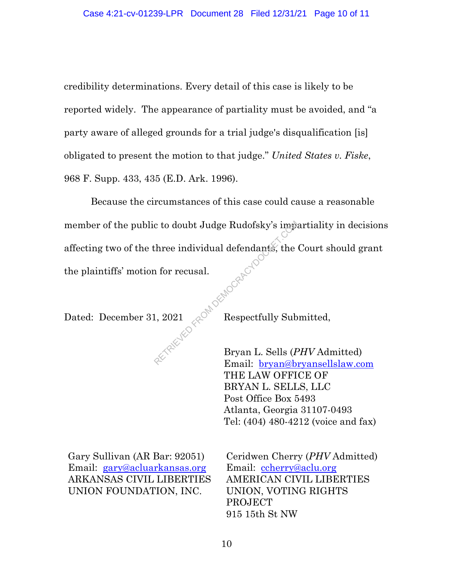credibility determinations. Every detail of this case is likely to be reported widely. The appearance of partiality must be avoided, and "a party aware of alleged grounds for a trial judge's disqualification [is] obligated to present the motion to that judge." *United States v. Fiske*, 968 F. Supp. 433, 435 (E.D. Ark. 1996).

Because the circumstances of this case could cause a reasonable member of the public to doubt Judge Rudofsky's impartiality in decisions affecting two of the three individual defendants, the Court should grant the plaintiffs' motion for recusal. day<br>- Competition From Democracy Competition

Dated: December 31, 2021  $\sqrt{2}$  Respectfully Submitted,

Bryan L. Sells (*PHV* Admitted) Email: bryan@bryansellslaw.com THE LAW OFFICE OF BRYAN L. SELLS, LLC Post Office Box 5493 Atlanta, Georgia 31107-0493 Tel: (404) 480-4212 (voice and fax)

Gary Sullivan (AR Bar: 92051) Email: gary@acluarkansas.org ARKANSAS CIVIL LIBERTIES UNION FOUNDATION, INC.

Ceridwen Cherry (*PHV* Admitted) Email: ccherry@aclu.org AMERICAN CIVIL LIBERTIES UNION, VOTING RIGHTS PROJECT 915 15th St NW